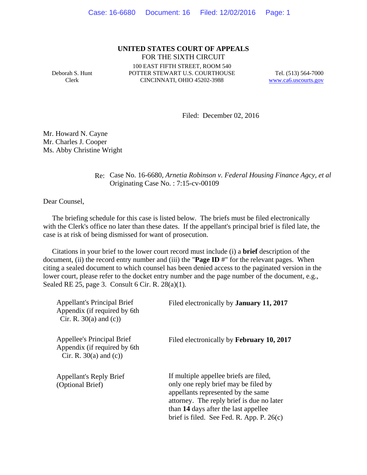#### **UNITED STATES COURT OF APPEALS** FOR THE SIXTH CIRCUIT

Deborah S. Hunt Clerk

100 EAST FIFTH STREET, ROOM 540 POTTER STEWART U.S. COURTHOUSE CINCINNATI, OHIO 45202-3988

Tel. (513) 564-7000 www.ca6.uscourts.gov

Filed: December 02, 2016

Mr. Howard N. Cayne Mr. Charles J. Cooper Ms. Abby Christine Wright

#### Re: Case No. 16-6680*, Arnetia Robinson v. Federal Housing Finance Agcy, et al* Originating Case No. : 7:15-cv-00109

Dear Counsel,

 The briefing schedule for this case is listed below. The briefs must be filed electronically with the Clerk's office no later than these dates. If the appellant's principal brief is filed late, the case is at risk of being dismissed for want of prosecution.

 Citations in your brief to the lower court record must include (i) a **brief** description of the document, (ii) the record entry number and (iii) the "**Page ID** #" for the relevant pages. When citing a sealed document to which counsel has been denied access to the paginated version in the lower court, please refer to the docket entry number and the page number of the document, e.g., Sealed RE 25, page 3. Consult 6 Cir. R. 28(a)(1).

| <b>Appellant's Principal Brief</b><br>Appendix (if required by 6th<br>Cir. R. $30(a)$ and (c)) | Filed electronically by <b>January 11, 2017</b>                                                                                                                                                                                                          |
|------------------------------------------------------------------------------------------------|----------------------------------------------------------------------------------------------------------------------------------------------------------------------------------------------------------------------------------------------------------|
| Appellee's Principal Brief<br>Appendix (if required by 6th<br>Cir. R. $30(a)$ and (c))         | Filed electronically by February 10, 2017                                                                                                                                                                                                                |
| <b>Appellant's Reply Brief</b><br>(Optional Brief)                                             | If multiple appellee briefs are filed,<br>only one reply brief may be filed by<br>appellants represented by the same<br>attorney. The reply brief is due no later<br>than 14 days after the last appellee<br>brief is filed. See Fed. R. App. P. $26(c)$ |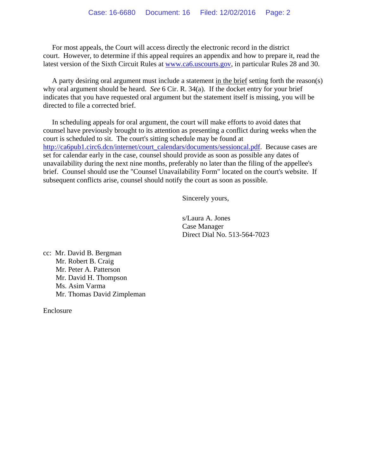For most appeals, the Court will access directly the electronic record in the district court. However, to determine if this appeal requires an appendix and how to prepare it, read the latest version of the Sixth Circuit Rules at www.ca6.uscourts.gov, in particular Rules 28 and 30.

 A party desiring oral argument must include a statement in the brief setting forth the reason(s) why oral argument should be heard. *See* 6 Cir. R. 34(a). If the docket entry for your brief indicates that you have requested oral argument but the statement itself is missing, you will be directed to file a corrected brief.

 In scheduling appeals for oral argument, the court will make efforts to avoid dates that counsel have previously brought to its attention as presenting a conflict during weeks when the court is scheduled to sit. The court's sitting schedule may be found at http://ca6pub1.circ6.dcn/internet/court\_calendars/documents/sessioncal.pdf. Because cases are set for calendar early in the case, counsel should provide as soon as possible any dates of unavailability during the next nine months, preferably no later than the filing of the appellee's brief. Counsel should use the "Counsel Unavailability Form" located on the court's website. If subsequent conflicts arise, counsel should notify the court as soon as possible.

Sincerely yours,

s/Laura A. Jones Case Manager Direct Dial No. 513-564-7023

cc: Mr. David B. Bergman Mr. Robert B. Craig Mr. Peter A. Patterson Mr. David H. Thompson Ms. Asim Varma Mr. Thomas David Zimpleman

Enclosure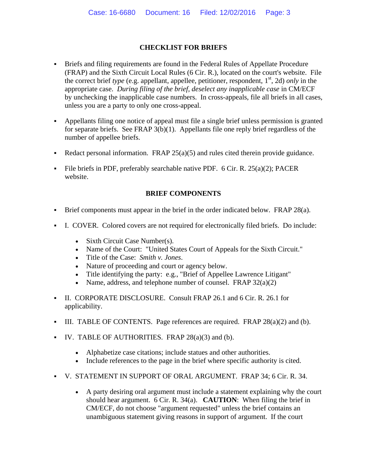## **CHECKLIST FOR BRIEFS**

- Briefs and filing requirements are found in the Federal Rules of Appellate Procedure (FRAP) and the Sixth Circuit Local Rules (6 Cir. R.), located on the court's website. File the correct brief *type* (e.g. appellant, appellee, petitioner, respondent,  $1<sup>st</sup>$ , 2d) *only* in the appropriate case. *During filing of the brief, deselect any inapplicable case* in CM/ECF by unchecking the inapplicable case numbers. In cross-appeals, file all briefs in all cases, unless you are a party to only one cross-appeal.
- Appellants filing one notice of appeal must file a single brief unless permission is granted for separate briefs. See FRAP 3(b)(1). Appellants file one reply brief regardless of the number of appellee briefs.
- Redact personal information. FRAP  $25(a)(5)$  and rules cited therein provide guidance.
- File briefs in PDF, preferably searchable native PDF.  $6$  Cir. R.  $25(a)(2)$ ; PACER website.

## **BRIEF COMPONENTS**

- Brief components must appear in the brief in the order indicated below. FRAP 28(a).
- I. COVER. Colored covers are not required for electronically filed briefs. Do include:
	- Sixth Circuit Case Number(s).
	- Name of the Court: "United States Court of Appeals for the Sixth Circuit."
	- Title of the Case: *Smith v. Jones*.
	- Nature of proceeding and court or agency below.
	- Title identifying the party: e.g., "Brief of Appellee Lawrence Litigant"
	- Name, address, and telephone number of counsel. FRAP  $32(a)(2)$
- II. CORPORATE DISCLOSURE. Consult FRAP 26.1 and 6 Cir. R. 26.1 for applicability.
- III. TABLE OF CONTENTS. Page references are required. FRAP  $28(a)(2)$  and (b).
- $IV.$  TABLE OF AUTHORITIES. FRAP  $28(a)(3)$  and (b).
	- Alphabetize case citations; include statues and other authorities.
	- Include references to the page in the brief where specific authority is cited.
- V. STATEMENT IN SUPPORT OF ORAL ARGUMENT. FRAP 34; 6 Cir. R. 34.
	- A party desiring oral argument must include a statement explaining why the court should hear argument. 6 Cir. R. 34(a). **CAUTION**: When filing the brief in CM/ECF, do not choose "argument requested" unless the brief contains an unambiguous statement giving reasons in support of argument. If the court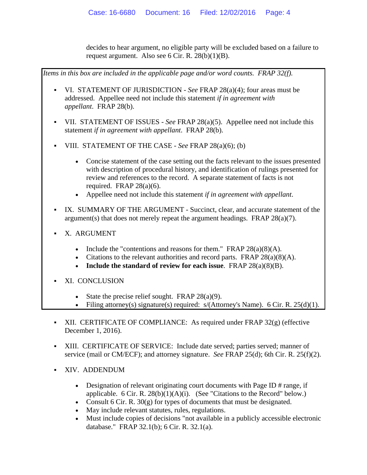decides to hear argument, no eligible party will be excluded based on a failure to request argument. Also see 6 Cir. R. 28(b)(1)(B).



- Designation of relevant originating court documents with Page ID # range, if applicable. 6 Cir. R. 28(b)(1)(A)(i). (See "Citations to the Record" below.)
- Consult 6 Cir. R. 30(g) for types of documents that must be designated.
- May include relevant statutes, rules, regulations.
- Must include copies of decisions "not available in a publicly accessible electronic database." FRAP 32.1(b); 6 Cir. R. 32.1(a).